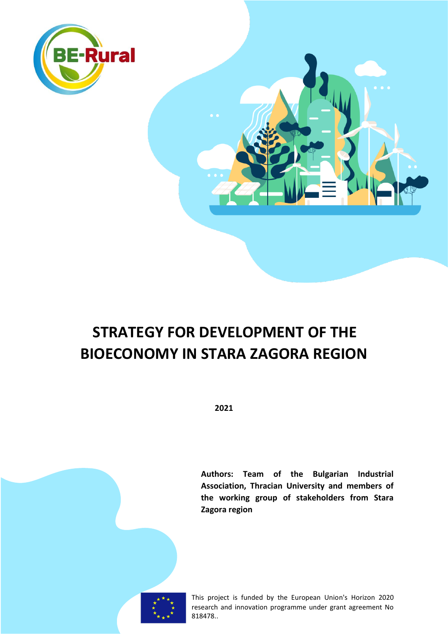

# **STRATEGY FOR DEVELOPMENT OF THE BIOECONOMY IN STARA ZAGORA REGION**

**2021**

**Authors: Team of the Bulgarian Industrial Association, Thracian University and members of the working group of stakeholders from Stara Zagora region**



This project is funded by the European Union's Horizon 2020 research and innovation programme under grant agreement No 818478..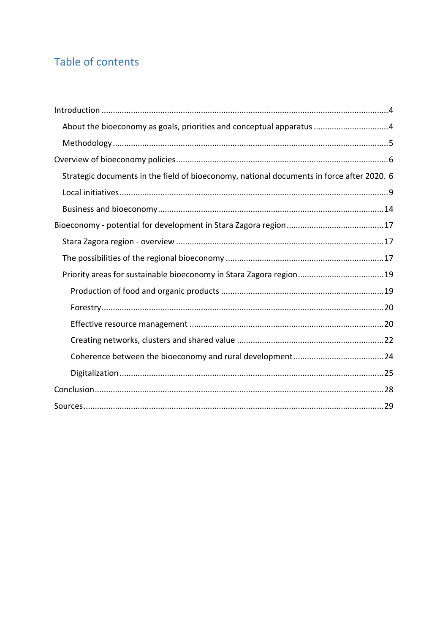# Table of contents

| About the bioeconomy as goals, priorities and conceptual apparatus 4                      |
|-------------------------------------------------------------------------------------------|
|                                                                                           |
|                                                                                           |
| Strategic documents in the field of bioeconomy, national documents in force after 2020. 6 |
|                                                                                           |
|                                                                                           |
|                                                                                           |
|                                                                                           |
|                                                                                           |
|                                                                                           |
|                                                                                           |
|                                                                                           |
|                                                                                           |
|                                                                                           |
|                                                                                           |
|                                                                                           |
|                                                                                           |
|                                                                                           |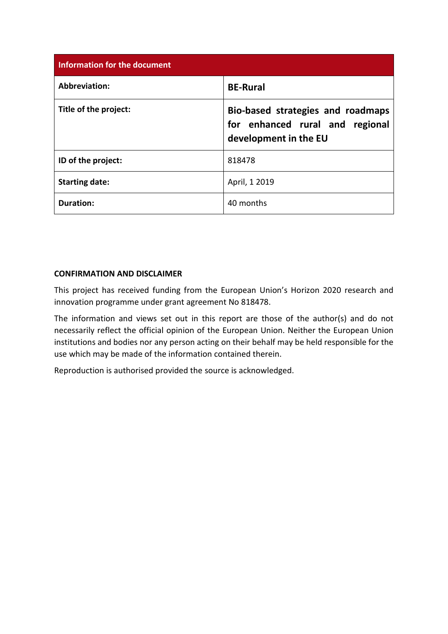| <b>Information for the document</b> |                                                                                               |  |  |
|-------------------------------------|-----------------------------------------------------------------------------------------------|--|--|
| <b>Abbreviation:</b>                | <b>BE-Rural</b>                                                                               |  |  |
| Title of the project:               | Bio-based strategies and roadmaps<br>for enhanced rural and regional<br>development in the EU |  |  |
| ID of the project:                  | 818478                                                                                        |  |  |
| <b>Starting date:</b>               | April, 1 2019                                                                                 |  |  |
| <b>Duration:</b>                    | 40 months                                                                                     |  |  |

#### **CONFIRMATION AND DISCLAIMER**

This project has received funding from the European Union's Horizon 2020 research and innovation programme under grant agreement No 818478.

The information and views set out in this report are those of the author(s) and do not necessarily reflect the official opinion of the European Union. Neither the European Union institutions and bodies nor any person acting on their behalf may be held responsible for the use which may be made of the information contained therein.

Reproduction is authorised provided the source is acknowledged.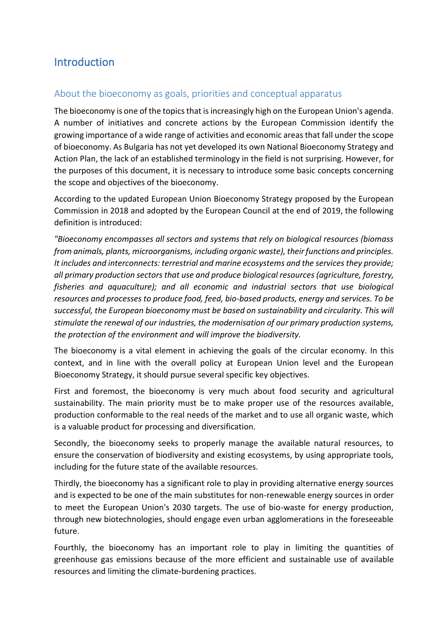# <span id="page-3-0"></span>**Introduction**

# <span id="page-3-1"></span>About the bioeconomy as goals, priorities and conceptual apparatus

The bioeconomy is one of the topics that is increasingly high on the European Union's agenda. A number of initiatives and concrete actions by the European Commission identify the growing importance of a wide range of activities and economic areas that fall under the scope of bioeconomy. As Bulgaria has not yet developed its own National Bioeconomy Strategy and Action Plan, the lack of an established terminology in the field is not surprising. However, for the purposes of this document, it is necessary to introduce some basic concepts concerning the scope and objectives of the bioeconomy.

According to the updated European Union Bioeconomy Strategy proposed by the European Commission in 2018 and adopted by the European Council at the end of 2019, the following definition is introduced:

*"Bioeconomy encompasses all sectors and systems that rely on biological resources (biomass from animals, plants, microorganisms, including organic waste), their functions and principles. It includes and interconnects: terrestrial and marine ecosystems and the services they provide; all primary production sectors that use and produce biological resources (agriculture, forestry, fisheries and aquaculture); and all economic and industrial sectors that use biological resources and processes to produce food, feed, bio-based products, energy and services. To be successful, the European bioeconomy must be based on sustainability and circularity. This will stimulate the renewal of our industries, the modernisation of our primary production systems, the protection of the environment and will improve the biodiversity.*

The bioeconomy is a vital element in achieving the goals of the circular economy. In this context, and in line with the overall policy at European Union level and the European Bioeconomy Strategy, it should pursue several specific key objectives.

First and foremost, the bioeconomy is very much about food security and agricultural sustainability. The main priority must be to make proper use of the resources available, production conformable to the real needs of the market and to use all organic waste, which is a valuable product for processing and diversification.

Secondly, the bioeconomy seeks to properly manage the available natural resources, to ensure the conservation of biodiversity and existing ecosystems, by using appropriate tools, including for the future state of the available resources.

Thirdly, the bioeconomy has a significant role to play in providing alternative energy sources and is expected to be one of the main substitutes for non-renewable energy sources in order to meet the European Union's 2030 targets. The use of bio-waste for energy production, through new biotechnologies, should engage even urban agglomerations in the foreseeable future.

Fourthly, the bioeconomy has an important role to play in limiting the quantities of greenhouse gas emissions because of the more efficient and sustainable use of available resources and limiting the climate-burdening practices.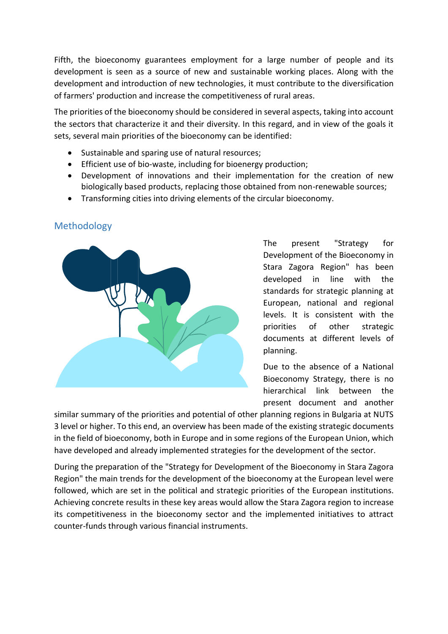Fifth, the bioeconomy guarantees employment for a large number of people and its development is seen as a source of new and sustainable working places. Along with the development and introduction of new technologies, it must contribute to the diversification of farmers' production and increase the competitiveness of rural areas.

The priorities of the bioeconomy should be considered in several aspects, taking into account the sectors that characterize it and their diversity. In this regard, and in view of the goals it sets, several main priorities of the bioeconomy can be identified:

- Sustainable and sparing use of natural resources;
- Efficient use of bio-waste, including for bioenergy production;
- Development of innovations and their implementation for the creation of new biologically based products, replacing those obtained from non-renewable sources;
- Transforming cities into driving elements of the circular bioeconomy.



# <span id="page-4-0"></span>Methodology

The present "Strategy for Development of the Bioeconomy in Stara Zagora Region" has been developed in line with the standards for strategic planning at European, national and regional levels. It is consistent with the priorities of other strategic documents at different levels of planning.

Due to the absence of a National Bioeconomy Strategy, there is no hierarchical link between the present document and another

similar summary of the priorities and potential of other planning regions in Bulgaria at NUTS 3 level or higher. To this end, an overview has been made of the existing strategic documents in the field of bioeconomy, both in Europe and in some regions of the European Union, which have developed and already implemented strategies for the development of the sector.

During the preparation of the "Strategy for Development of the Bioeconomy in Stara Zagora Region" the main trends for the development of the bioeconomy at the European level were followed, which are set in the political and strategic priorities of the European institutions. Achieving concrete results in these key areas would allow the Stara Zagora region to increase its competitiveness in the bioeconomy sector and the implemented initiatives to attract counter-funds through various financial instruments.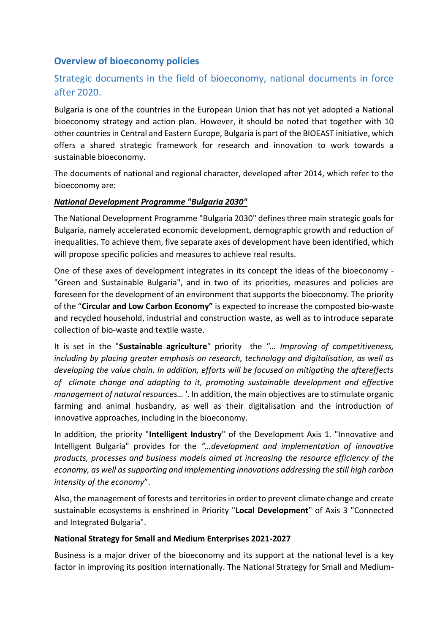# <span id="page-5-0"></span>**Overview of bioeconomy policies**

# <span id="page-5-1"></span>Strategic documents in the field of bioeconomy, national documents in force after 2020.

Bulgaria is one of the countries in the European Union that has not yet adopted a National bioeconomy strategy and action plan. However, it should be noted that together with 10 other countries in Central and Eastern Europe, Bulgaria is part of the BIOEAST initiative, which offers a shared strategic framework for research and innovation to work towards a sustainable bioeconomy.

The documents of national and regional character, developed after 2014, which refer to the bioeconomy are:

#### *National Development Programme "Bulgaria 2030"*

The National Development Programme "Bulgaria 2030" defines three main strategic goals for Bulgaria, namely accelerated economic development, demographic growth and reduction of inequalities. To achieve them, five separate axes of development have been identified, which will propose specific policies and measures to achieve real results.

One of these axes of development integrates in its concept the ideas of the bioeconomy - "Green and Sustainable Bulgaria", and in two of its priorities, measures and policies are foreseen for the development of an environment that supports the bioeconomy. The priority of the "**Circular and Low Carbon Economy"** is expected to increase the composted bio-waste and recycled household, industrial and construction waste, as well as to introduce separate collection of bio-waste and textile waste.

It is set in the "**Sustainable agriculture**" priority the *"… Improving of competitiveness, including by placing greater emphasis on research, technology and digitalisation, as well as developing the value chain. In addition, efforts will be focused on mitigating the aftereffects of climate change and adapting to it, promoting sustainable development and effective management of natural resources…* '. In addition, the main objectives are to stimulate organic farming and animal husbandry, as well as their digitalisation and the introduction of innovative approaches, including in the bioeconomy.

In addition, the priority "**Intelligent Industry**" of the Development Axis 1. "Innovative and Intelligent Bulgaria" provides for the *"…development and implementation of innovative products, processes and business models aimed at increasing the resource efficiency of the economy, as well as supporting and implementing innovations addressing the still high carbon intensity of the economy*".

Also, the management of forests and territories in order to prevent climate change and create sustainable ecosystems is enshrined in Priority "**Local Development**" of Axis 3 "Connected and Integrated Bulgaria".

#### **National Strategy for Small and Medium Enterprises 2021-2027**

Business is a major driver of the bioeconomy and its support at the national level is a key factor in improving its position internationally. The National Strategy for Small and Medium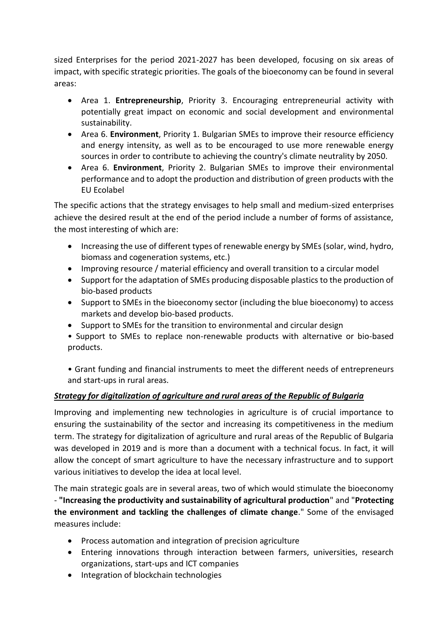sized Enterprises for the period 2021-2027 has been developed, focusing on six areas of impact, with specific strategic priorities. The goals of the bioeconomy can be found in several areas:

- Area 1. **Entrepreneurship**, Priority 3. Encouraging entrepreneurial activity with potentially great impact on economic and social development and environmental sustainability.
- Area 6. **Environment**, Priority 1. Bulgarian SMEs to improve their resource efficiency and energy intensity, as well as to be encouraged to use more renewable energy sources in order to contribute to achieving the country's climate neutrality by 2050.
- Area 6. **Environment**, Priority 2. Bulgarian SMEs to improve their environmental performance and to adopt the production and distribution of green products with the EU Ecolabel

The specific actions that the strategy envisages to help small and medium-sized enterprises achieve the desired result at the end of the period include a number of forms of assistance, the most interesting of which are:

- Increasing the use of different types of renewable energy by SMEs (solar, wind, hydro, biomass and cogeneration systems, etc.)
- Improving resource / material efficiency and overall transition to a circular model
- Support for the adaptation of SMEs producing disposable plastics to the production of bio-based products
- Support to SMEs in the bioeconomy sector (including the blue bioeconomy) to access markets and develop bio-based products.
- Support to SMEs for the transition to environmental and circular design
- Support to SMEs to replace non-renewable products with alternative or bio-based products.

• Grant funding and financial instruments to meet the different needs of entrepreneurs and start-ups in rural areas.

## *Strategy for digitalization of agriculture and rural areas of the Republic of Bulgaria*

Improving and implementing new technologies in agriculture is of crucial importance to ensuring the sustainability of the sector and increasing its competitiveness in the medium term. The strategy for digitalization of agriculture and rural areas of the Republic of Bulgaria was developed in 2019 and is more than a document with a technical focus. In fact, it will allow the concept of smart agriculture to have the necessary infrastructure and to support various initiatives to develop the idea at local level.

The main strategic goals are in several areas, two of which would stimulate the bioeconomy - **"Increasing the productivity and sustainability of agricultural production**" and "**Protecting the environment and tackling the challenges of climate change**." Some of the envisaged measures include:

- Process automation and integration of precision agriculture
- Entering innovations through interaction between farmers, universities, research organizations, start-ups and ICT companies
- Integration of blockchain technologies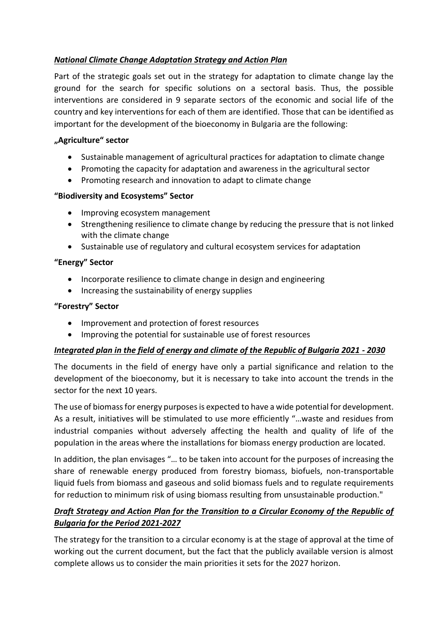## *National Climate Change Adaptation Strategy and Action Plan*

Part of the strategic goals set out in the strategy for adaptation to climate change lay the ground for the search for specific solutions on a sectoral basis. Thus, the possible interventions are considered in 9 separate sectors of the economic and social life of the country and key interventions for each of them are identified. Those that can be identified as important for the development of the bioeconomy in Bulgaria are the following:

#### **"Agriculture" sector**

- Sustainable management of agricultural practices for adaptation to climate change
- Promoting the capacity for adaptation and awareness in the agricultural sector
- Promoting research and innovation to adapt to climate change

#### **"Biodiversity and Ecosystems" Sector**

- Improving ecosystem management
- Strengthening resilience to climate change by reducing the pressure that is not linked with the climate change
- Sustainable use of regulatory and cultural ecosystem services for adaptation

#### **"Energy" Sector**

- Incorporate resilience to climate change in design and engineering
- Increasing the sustainability of energy supplies

#### **"Forestry" Sector**

- Improvement and protection of forest resources
- Improving the potential for sustainable use of forest resources

#### *Integrated plan in the field of energy and climate of the Republic of Bulgaria 2021 - 2030*

The documents in the field of energy have only a partial significance and relation to the development of the bioeconomy, but it is necessary to take into account the trends in the sector for the next 10 years.

The use of biomass for energy purposes is expected to have a wide potential for development. As a result, initiatives will be stimulated to use more efficiently "…waste and residues from industrial companies without adversely affecting the health and quality of life of the population in the areas where the installations for biomass energy production are located.

In addition, the plan envisages "… to be taken into account for the purposes of increasing the share of renewable energy produced from forestry biomass, biofuels, non-transportable liquid fuels from biomass and gaseous and solid biomass fuels and to regulate requirements for reduction to minimum risk of using biomass resulting from unsustainable production."

## *Draft Strategy and Action Plan for the Transition to a Circular Economy of the Republic of Bulgaria for the Period 2021-2027*

The strategy for the transition to a circular economy is at the stage of approval at the time of working out the current document, but the fact that the publicly available version is almost complete allows us to consider the main priorities it sets for the 2027 horizon.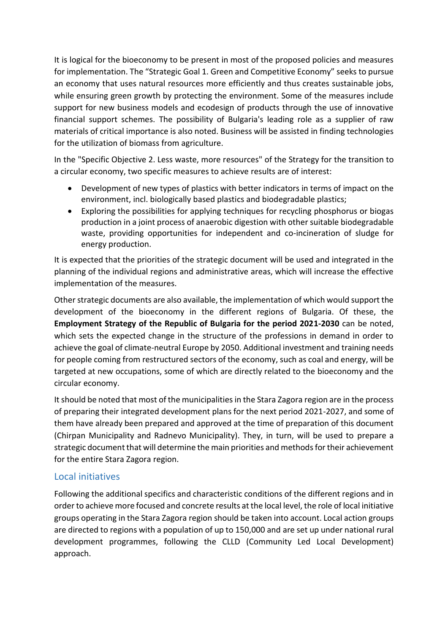It is logical for the bioeconomy to be present in most of the proposed policies and measures for implementation. The "Strategic Goal 1. Green and Competitive Economy" seeks to pursue an economy that uses natural resources more efficiently and thus creates sustainable jobs, while ensuring green growth by protecting the environment. Some of the measures include support for new business models and ecodesign of products through the use of innovative financial support schemes. The possibility of Bulgaria's leading role as a supplier of raw materials of critical importance is also noted. Business will be assisted in finding technologies for the utilization of biomass from agriculture.

In the "Specific Objective 2. Less waste, more resources" of the Strategy for the transition to a circular economy, two specific measures to achieve results are of interest:

- Development of new types of plastics with better indicators in terms of impact on the environment, incl. biologically based plastics and biodegradable plastics;
- Exploring the possibilities for applying techniques for recycling phosphorus or biogas production in a joint process of anaerobic digestion with other suitable biodegradable waste, providing opportunities for independent and co-incineration of sludge for energy production.

It is expected that the priorities of the strategic document will be used and integrated in the planning of the individual regions and administrative areas, which will increase the effective implementation of the measures.

Other strategic documents are also available, the implementation of which would support the development of the bioeconomy in the different regions of Bulgaria. Of these, the **Employment Strategy of the Republic of Bulgaria for the period 2021-2030** can be noted, which sets the expected change in the structure of the professions in demand in order to achieve the goal of climate-neutral Europe by 2050. Additional investment and training needs for people coming from restructured sectors of the economy, such as coal and energy, will be targeted at new occupations, some of which are directly related to the bioeconomy and the circular economy.

It should be noted that most of the municipalities in the Stara Zagora region are in the process of preparing their integrated development plans for the next period 2021-2027, and some of them have already been prepared and approved at the time of preparation of this document (Chirpan Municipality and Radnevo Municipality). They, in turn, will be used to prepare a strategic document that will determine the main priorities and methods for their achievement for the entire Stara Zagora region.

## <span id="page-8-0"></span>Local initiatives

Following the additional specifics and characteristic conditions of the different regions and in order to achieve more focused and concrete results at the local level, the role of local initiative groups operating in the Stara Zagora region should be taken into account. Local action groups are directed to regions with a population of up to 150,000 and are set up under national rural development programmes, following the CLLD (Community Led Local Development) approach.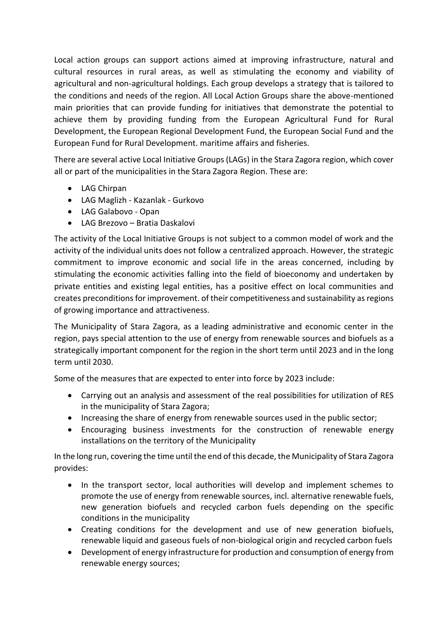Local action groups can support actions aimed at improving infrastructure, natural and cultural resources in rural areas, as well as stimulating the economy and viability of agricultural and non-agricultural holdings. Each group develops a strategy that is tailored to the conditions and needs of the region. All Local Action Groups share the above-mentioned main priorities that can provide funding for initiatives that demonstrate the potential to achieve them by providing funding from the European Agricultural Fund for Rural Development, the European Regional Development Fund, the European Social Fund and the European Fund for Rural Development. maritime affairs and fisheries.

There are several active Local Initiative Groups (LAGs) in the Stara Zagora region, which cover all or part of the municipalities in the Stara Zagora Region. These are:

- LAG Chirpan
- LAG Maglizh Kazanlak Gurkovo
- LAG Galabovo Opan
- LAG Brezovo Bratia Daskalovi

The activity of the Local Initiative Groups is not subject to a common model of work and the activity of the individual units does not follow a centralized approach. However, the strategic commitment to improve economic and social life in the areas concerned, including by stimulating the economic activities falling into the field of bioeconomy and undertaken by private entities and existing legal entities, has a positive effect on local communities and creates preconditions for improvement. of their competitiveness and sustainability as regions of growing importance and attractiveness.

The Municipality of Stara Zagora, as a leading administrative and economic center in the region, pays special attention to the use of energy from renewable sources and biofuels as a strategically important component for the region in the short term until 2023 and in the long term until 2030.

Some of the measures that are expected to enter into force by 2023 include:

- Carrying out an analysis and assessment of the real possibilities for utilization of RES in the municipality of Stara Zagora;
- Increasing the share of energy from renewable sources used in the public sector;
- Encouraging business investments for the construction of renewable energy installations on the territory of the Municipality

In the long run, covering the time until the end of this decade, the Municipality of Stara Zagora provides:

- In the transport sector, local authorities will develop and implement schemes to promote the use of energy from renewable sources, incl. alternative renewable fuels, new generation biofuels and recycled carbon fuels depending on the specific conditions in the municipality
- Creating conditions for the development and use of new generation biofuels, renewable liquid and gaseous fuels of non-biological origin and recycled carbon fuels
- Development of energy infrastructure for production and consumption of energy from renewable energy sources;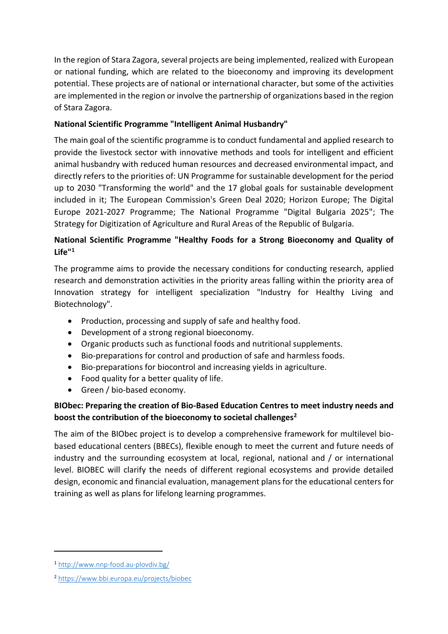In the region of Stara Zagora, several projects are being implemented, realized with European or national funding, which are related to the bioeconomy and improving its development potential. These projects are of national or international character, but some of the activities are implemented in the region or involve the partnership of organizations based in the region of Stara Zagora.

## **National Scientific Programme "Intelligent Animal Husbandry"**

The main goal of the scientific programme is to conduct fundamental and applied research to provide the livestock sector with innovative methods and tools for intelligent and efficient animal husbandry with reduced human resources and decreased environmental impact, and directly refers to the priorities of: UN Programme for sustainable development for the period up to 2030 "Transforming the world" and the 17 global goals for sustainable development included in it; The European Commission's Green Deal 2020; Horizon Europe; The Digital Europe 2021-2027 Programme; The National Programme "Digital Bulgaria 2025"; The Strategy for Digitization of Agriculture and Rural Areas of the Republic of Bulgaria.

# **National Scientific Programme "Healthy Foods for a Strong Bioeconomy and Quality of Life"<sup>1</sup>**

The programme aims to provide the necessary conditions for conducting research, applied research and demonstration activities in the priority areas falling within the priority area of Innovation strategy for intelligent specialization "Industry for Healthy Living and Biotechnology".

- Production, processing and supply of safe and healthy food.
- Development of a strong regional bioeconomy.
- Organic products such as functional foods and nutritional supplements.
- Bio-preparations for control and production of safe and harmless foods.
- Bio-preparations for biocontrol and increasing yields in agriculture.
- Food quality for a better quality of life.
- Green / bio-based economy.

# **BIObec: Preparing the creation of Bio-Based Education Centres to meet industry needs and boost the contribution of the bioeconomy to societal challenges<sup>2</sup>**

The aim of the BIObec project is to develop a comprehensive framework for multilevel biobased educational centers (BBECs), flexible enough to meet the current and future needs of industry and the surrounding ecosystem at local, regional, national and / or international level. BIOBEC will clarify the needs of different regional ecosystems and provide detailed design, economic and financial evaluation, management plans for the educational centers for training as well as plans for lifelong learning programmes.

<sup>1</sup> <http://www.nnp-food.au-plovdiv.bg/>

<sup>2</sup> <https://www.bbi.europa.eu/projects/biobec>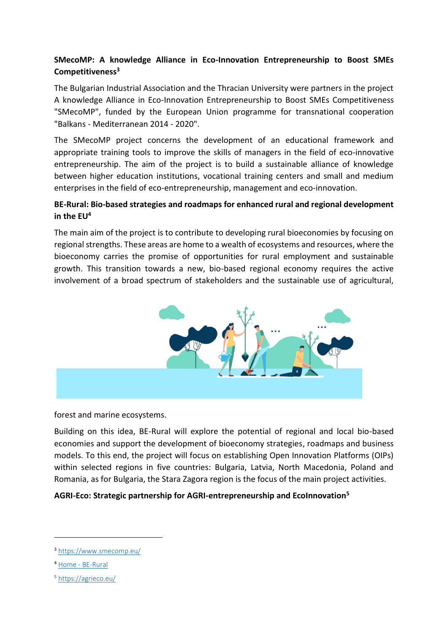# **SMecoMP: A knowledge Alliance in Eco-Innovation Entrepreneurship to Boost SMEs Competitiveness<sup>3</sup>**

The Bulgarian Industrial Association and the Thracian University were partners in the project A knowledge Alliance in Eco-Innovation Entrepreneurship to Boost SMEs Competitiveness "SMecoMP", funded by the European Union programme for transnational cooperation "Balkans - Mediterranean 2014 - 2020".

The SMecoMP project concerns the development of an educational framework and appropriate training tools to improve the skills of managers in the field of eco-innovative entrepreneurship. The aim of the project is to build a sustainable alliance of knowledge between higher education institutions, vocational training centers and small and medium enterprises in the field of eco-entrepreneurship, management and eco-innovation.

#### **BE-Rural: Bio-based strategies and roadmaps for enhanced rural and regional development in the EU<sup>4</sup>**

The main aim of the project is to contribute to developing rural bioeconomies by focusing on regional strengths. These areas are home to a wealth of ecosystems and resources, where the bioeconomy carries the promise of opportunities for rural employment and sustainable growth. This transition towards a new, bio-based regional economy requires the active involvement of a broad spectrum of stakeholders and the sustainable use of agricultural,



forest and marine ecosystems.

Building on this idea, BE-Rural will explore the potential of regional and local bio-based economies and support the development of bioeconomy strategies, roadmaps and business models. To this end, the project will focus on establishing Open Innovation Platforms (OIPs) within selected regions in five countries: Bulgaria, Latvia, North Macedonia, Poland and Romania, as for Bulgaria, the Stara Zagora region is the focus of the main project activities.

#### **AGRI-Eco: Strategic partnership for AGRI-entrepreneurship and EcoInnovation<sup>5</sup>**

<sup>3</sup> <https://www.smecomp.eu/>

<sup>4</sup> Home - [BE-Rural](https://be-rural.eu/)

<sup>5</sup> <https://agrieco.eu/>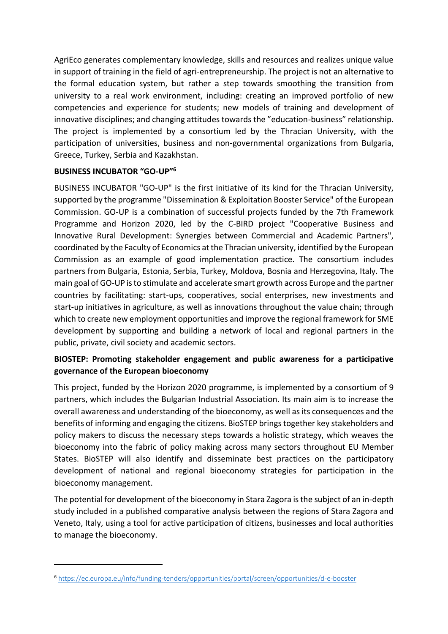AgriEco generates complementary knowledge, skills and resources and realizes unique value in support of training in the field of agri-entrepreneurship. The project is not an alternative to the formal education system, but rather a step towards smoothing the transition from university to a real work environment, including: creating an improved portfolio of new competencies and experience for students; new models of training and development of innovative disciplines; and changing attitudes towards the "education-business" relationship. The project is implemented by a consortium led by the Thracian University, with the participation of universities, business and non-governmental organizations from Bulgaria, Greece, Turkey, Serbia and Kazakhstan.

#### **BUSINESS INCUBATOR "GO-UP"<sup>6</sup>**

BUSINESS INCUBATOR "GO-UP" is the first initiative of its kind for the Thracian University, supported by the programme "Dissemination & Exploitation Booster Service" of the European Commission. GO-UP is a combination of successful projects funded by the 7th Framework Programme and Horizon 2020, led by the C-BIRD project "Cooperative Business and Innovative Rural Development: Synergies between Commercial and Academic Partners", coordinated by the Faculty of Economics at the Thracian university, identified by the European Commission as an example of good implementation practice. The consortium includes partners from Bulgaria, Estonia, Serbia, Turkey, Moldova, Bosnia and Herzegovina, Italy. The main goal of GO-UP is to stimulate and accelerate smart growth across Europe and the partner countries by facilitating: start-ups, cooperatives, social enterprises, new investments and start-up initiatives in agriculture, as well as innovations throughout the value chain; through which to create new employment opportunities and improve the regional framework for SME development by supporting and building a network of local and regional partners in the public, private, civil society and academic sectors.

# **BIOSTEP: Promoting stakeholder engagement and public awareness for a participative governance of the European bioeconomy**

This project, funded by the Horizon 2020 programme, is implemented by a consortium of 9 partners, which includes the Bulgarian Industrial Association. Its main aim is to increase the overall awareness and understanding of the bioeconomy, as well as its consequences and the benefits of informing and engaging the citizens. BioSTEP brings together key stakeholders and policy makers to discuss the necessary steps towards a holistic strategy, which weaves the bioeconomy into the fabric of policy making across many sectors throughout EU Member States. BioSTEP will also identify and disseminate best practices on the participatory development of national and regional bioeconomy strategies for participation in the bioeconomy management.

The potential for development of the bioeconomy in Stara Zagora is the subject of an in-depth study included in a published comparative analysis between the regions of Stara Zagora and Veneto, Italy, using a tool for active participation of citizens, businesses and local authorities to manage the bioeconomy.

<sup>6</sup> <https://ec.europa.eu/info/funding-tenders/opportunities/portal/screen/opportunities/d-e-booster>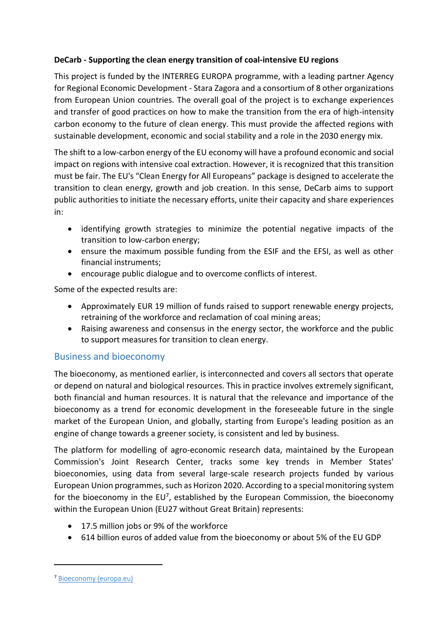#### **DeCarb - Supporting the clean energy transition of coal-intensive EU regions**

This project is funded by the INTERREG EUROPA programme, with a leading partner Agency for Regional Economic Development - Stara Zagora and a consortium of 8 other organizations from European Union countries. The overall goal of the project is to exchange experiences and transfer of good practices on how to make the transition from the era of high-intensity carbon economy to the future of clean energy. This must provide the affected regions with sustainable development, economic and social stability and a role in the 2030 energy mix.

The shift to a low-carbon energy of the EU economy will have a profound economic and social impact on regions with intensive coal extraction. However, it is recognized that this transition must be fair. The EU's "Clean Energy for All Europeans" package is designed to accelerate the transition to clean energy, growth and job creation. In this sense, DeCarb aims to support public authorities to initiate the necessary efforts, unite their capacity and share experiences in:

- identifying growth strategies to minimize the potential negative impacts of the transition to low-carbon energy;
- ensure the maximum possible funding from the ESIF and the EFSI, as well as other financial instruments;
- encourage public dialogue and to overcome conflicts of interest.

Some of the expected results are:

- Approximately EUR 19 million of funds raised to support renewable energy projects, retraining of the workforce and reclamation of coal mining areas;
- Raising awareness and consensus in the energy sector, the workforce and the public to support measures for transition to clean energy.

## <span id="page-13-0"></span>Business and bioeconomy

The bioeconomy, as mentioned earlier, is interconnected and covers all sectors that operate or depend on natural and biological resources. This in practice involves extremely significant, both financial and human resources. It is natural that the relevance and importance of the bioeconomy as a trend for economic development in the foreseeable future in the single market of the European Union, and globally, starting from Europe's leading position as an engine of change towards a greener society, is consistent and led by business.

The platform for modelling of agro-economic research data, maintained by the European Commission's Joint Research Center, tracks some key trends in Member States' bioeconomies, using data from several large-scale research projects funded by various European Union programmes, such as Horizon 2020. According to a special monitoring system for the bioeconomy in the EU<sup>7</sup>, established by the European Commission, the bioeconomy within the European Union (EU27 without Great Britain) represents:

- 17.5 million jobs or 9% of the workforce
- 614 billion euros of added value from the bioeconomy or about 5% of the EU GDP

<sup>7</sup> [Bioeconomy \(europa.eu\)](https://knowledge4policy.ec.europa.eu/bioeconomy_en)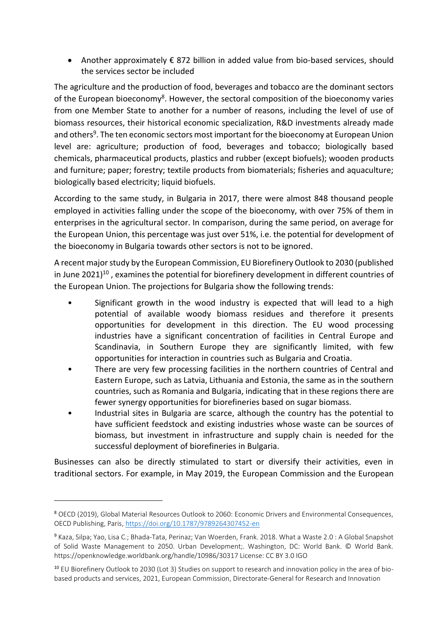• Another approximately € 872 billion in added value from bio-based services, should the services sector be included

The agriculture and the production of food, beverages and tobacco are the dominant sectors of the European bioeconomy<sup>8</sup>. However, the sectoral composition of the bioeconomy varies from one Member State to another for a number of reasons, including the level of use of biomass resources, their historical economic specialization, R&D investments already made and others<sup>9</sup>. The ten economic sectors most important for the bioeconomy at European Union level are: agriculture; production of food, beverages and tobacco; biologically based chemicals, pharmaceutical products, plastics and rubber (except biofuels); wooden products and furniture; paper; forestry; textile products from biomaterials; fisheries and aquaculture; biologically based electricity; liquid biofuels.

According to the same study, in Bulgaria in 2017, there were almost 848 thousand people employed in activities falling under the scope of the bioeconomy, with over 75% of them in enterprises in the agricultural sector. In comparison, during the same period, on average for the European Union, this percentage was just over 51%, i.e. the potential for development of the bioeconomy in Bulgaria towards other sectors is not to be ignored.

A recent major study by the European Commission, EU Biorefinery Outlook to 2030 (published in June  $2021$ <sup>10</sup>, examines the potential for biorefinery development in different countries of the European Union. The projections for Bulgaria show the following trends:

- Significant growth in the wood industry is expected that will lead to a high potential of available woody biomass residues and therefore it presents opportunities for development in this direction. The EU wood processing industries have a significant concentration of facilities in Central Europe and Scandinavia, in Southern Europe they are significantly limited, with few opportunities for interaction in countries such as Bulgaria and Croatia.
- There are very few processing facilities in the northern countries of Central and Eastern Europe, such as Latvia, Lithuania and Estonia, the same as in the southern countries, such as Romania and Bulgaria, indicating that in these regions there are fewer synergy opportunities for biorefineries based on sugar biomass.
- Industrial sites in Bulgaria are scarce, although the country has the potential to have sufficient feedstock and existing industries whose waste can be sources of biomass, but investment in infrastructure and supply chain is needed for the successful deployment of biorefineries in Bulgaria.

Businesses can also be directly stimulated to start or diversify their activities, even in traditional sectors. For example, in May 2019, the European Commission and the European

<sup>8</sup> OECD (2019), Global Material Resources Outlook to 2060: Economic Drivers and Environmental Consequences, OECD Publishing, Paris,<https://doi.org/10.1787/9789264307452-en>

<sup>9</sup> Kaza, Silpa; Yao, Lisa C.; Bhada-Tata, Perinaz; Van Woerden, Frank. 2018. What a Waste 2.0 : A Global Snapshot of Solid Waste Management to 2050. Urban Development;. Washington, DC: World Bank. © World Bank. https://openknowledge.worldbank.org/handle/10986/30317 License: CC BY 3.0 IGO

<sup>10</sup> EU Biorefinery Outlook to 2030 (Lot 3) Studies on support to research and innovation policy in the area of biobased products and services, 2021, European Commission, Directorate-General for Research and Innovation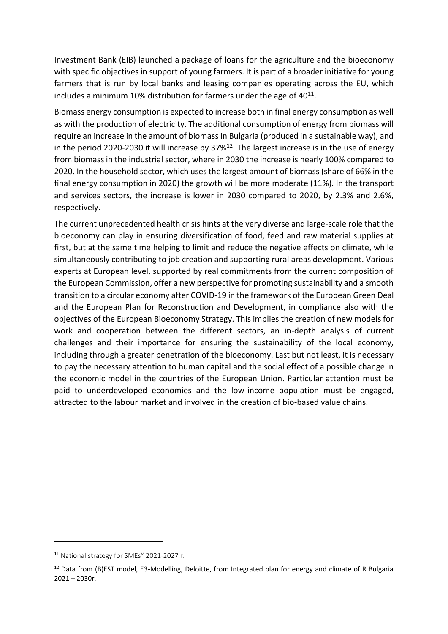Investment Bank (EIB) launched a package of loans for the agriculture and the bioeconomy with specific objectives in support of young farmers. It is part of a broader initiative for young farmers that is run by local banks and leasing companies operating across the EU, which includes a minimum 10% distribution for farmers under the age of  $40^{11}$ .

Biomass energy consumption is expected to increase both in final energy consumption as well as with the production of electricity. The additional consumption of energy from biomass will require an increase in the amount of biomass in Bulgaria (produced in a sustainable way), and in the period 2020-2030 it will increase by  $37\%^{12}$ . The largest increase is in the use of energy from biomass in the industrial sector, where in 2030 the increase is nearly 100% compared to 2020. In the household sector, which uses the largest amount of biomass (share of 66% in the final energy consumption in 2020) the growth will be more moderate (11%). In the transport and services sectors, the increase is lower in 2030 compared to 2020, by 2.3% and 2.6%, respectively.

The current unprecedented health crisis hints at the very diverse and large-scale role that the bioeconomy can play in ensuring diversification of food, feed and raw material supplies at first, but at the same time helping to limit and reduce the negative effects on climate, while simultaneously contributing to job creation and supporting rural areas development. Various experts at European level, supported by real commitments from the current composition of the European Commission, offer a new perspective for promoting sustainability and a smooth transition to a circular economy after COVID-19 in the framework of the European Green Deal and the European Plan for Reconstruction and Development, in compliance also with the objectives of the European Bioeconomy Strategy. This implies the creation of new models for work and cooperation between the different sectors, an in-depth analysis of current challenges and their importance for ensuring the sustainability of the local economy, including through a greater penetration of the bioeconomy. Last but not least, it is necessary to pay the necessary attention to human capital and the social effect of a possible change in the economic model in the countries of the European Union. Particular attention must be paid to underdeveloped economies and the low-income population must be engaged, attracted to the labour market and involved in the creation of bio-based value chains.

<sup>11</sup> National strategy for SMEs" 2021-2027 г.

<sup>&</sup>lt;sup>12</sup> Data from (B)EST model, E3-Modelling, Deloitte, from Integrated plan for energy and climate of R Bulgaria 2021 – 2030г.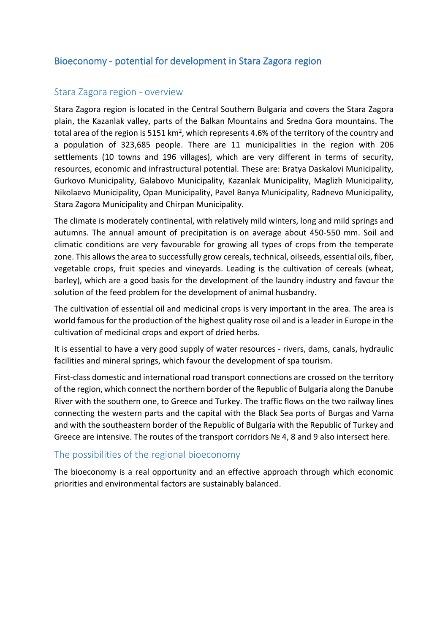# <span id="page-16-0"></span>Bioeconomy - potential for development in Stara Zagora region

## <span id="page-16-1"></span>Stara Zagora region - overview

Stara Zagora region is located in the Central Southern Bulgaria and covers the Stara Zagora plain, the Kazanlak valley, parts of the Balkan Mountains and Sredna Gora mountains. The total area of the region is 5151 km<sup>2</sup>, which represents 4.6% of the territory of the country and a population of 323,685 people. There are 11 municipalities in the region with 206 settlements (10 towns and 196 villages), which are very different in terms of security, resources, economic and infrastructural potential. These are: Bratya Daskalovi Municipality, Gurkovo Municipality, Galabovo Municipality, Kazanlak Municipality, Maglizh Municipality, Nikolaevo Municipality, Opan Municipality, Pavel Banya Municipality, Radnevo Municipality, Stara Zagora Municipality and Chirpan Municipality.

The climate is moderately continental, with relatively mild winters, long and mild springs and autumns. The annual amount of precipitation is on average about 450-550 mm. Soil and climatic conditions are very favourable for growing all types of crops from the temperate zone. This allows the area to successfully grow cereals, technical, oilseeds, essential oils, fiber, vegetable crops, fruit species and vineyards. Leading is the cultivation of cereals (wheat, barley), which are a good basis for the development of the laundry industry and favour the solution of the feed problem for the development of animal husbandry.

The cultivation of essential oil and medicinal crops is very important in the area. The area is world famous for the production of the highest quality rose oil and is a leader in Europe in the cultivation of medicinal crops and export of dried herbs.

It is essential to have a very good supply of water resources - rivers, dams, canals, hydraulic facilities and mineral springs, which favour the development of spa tourism.

First-class domestic and international road transport connections are crossed on the territory of the region, which connect the northern border of the Republic of Bulgaria along the Danube River with the southern one, to Greece and Turkey. The traffic flows on the two railway lines connecting the western parts and the capital with the Black Sea ports of Burgas and Varna and with the southeastern border of the Republic of Bulgaria with the Republic of Turkey and Greece are intensive. The routes of the transport corridors № 4, 8 and 9 also intersect here.

## <span id="page-16-2"></span>The possibilities of the regional bioeconomy

The bioeconomy is a real opportunity and an effective approach through which economic priorities and environmental factors are sustainably balanced.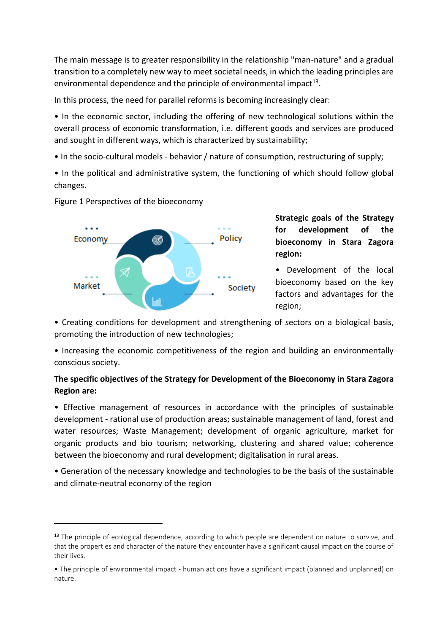The main message is to greater responsibility in the relationship "man-nature" and a gradual transition to a completely new way to meet societal needs, in which the leading principles are environmental dependence and the principle of environmental impact<sup>13</sup>.

In this process, the need for parallel reforms is becoming increasingly clear:

• In the economic sector, including the offering of new technological solutions within the overall process of economic transformation, i.e. different goods and services are produced and sought in different ways, which is characterized by sustainability;

• In the socio-cultural models - behavior / nature of consumption, restructuring of supply;

• In the political and administrative system, the functioning of which should follow global changes.



Figure 1 Perspectives of the bioeconomy

**Strategic goals of the Strategy for development of the bioeconomy in Stara Zagora region:**

• Development of the local bioeconomy based on the key factors and advantages for the region;

• Creating conditions for development and strengthening of sectors on a biological basis, promoting the introduction of new technologies;

• Increasing the economic competitiveness of the region and building an environmentally conscious society.

## **The specific objectives of the Strategy for Development of the Bioeconomy in Stara Zagora Region are:**

• Effective management of resources in accordance with the principles of sustainable development - rational use of production areas; sustainable management of land, forest and water resources; Waste Management; development of organic agriculture, market for organic products and bio tourism; networking, clustering and shared value; coherence between the bioeconomy and rural development; digitalisation in rural areas.

• Generation of the necessary knowledge and technologies to be the basis of the sustainable and climate-neutral economy of the region

<sup>&</sup>lt;sup>13</sup> The principle of ecological dependence, according to which people are dependent on nature to survive, and that the properties and character of the nature they encounter have a significant causal impact on the course of their lives.

<sup>•</sup> The principle of environmental impact - human actions have a significant impact (planned and unplanned) on nature.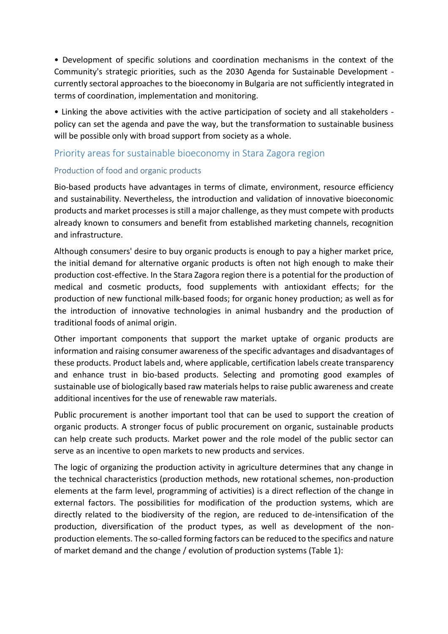• Development of specific solutions and coordination mechanisms in the context of the Community's strategic priorities, such as the 2030 Agenda for Sustainable Development currently sectoral approaches to the bioeconomy in Bulgaria are not sufficiently integrated in terms of coordination, implementation and monitoring.

• Linking the above activities with the active participation of society and all stakeholders policy can set the agenda and pave the way, but the transformation to sustainable business will be possible only with broad support from society as a whole.

# <span id="page-18-0"></span>Priority areas for sustainable bioeconomy in Stara Zagora region

#### <span id="page-18-1"></span>Production of food and organic products

Bio-based products have advantages in terms of climate, environment, resource efficiency and sustainability. Nevertheless, the introduction and validation of innovative bioeconomic products and market processes is still a major challenge, as they must compete with products already known to consumers and benefit from established marketing channels, recognition and infrastructure.

Although consumers' desire to buy organic products is enough to pay a higher market price, the initial demand for alternative organic products is often not high enough to make their production cost-effective. In the Stara Zagora region there is a potential for the production of medical and cosmetic products, food supplements with antioxidant effects; for the production of new functional milk-based foods; for organic honey production; as well as for the introduction of innovative technologies in animal husbandry and the production of traditional foods of animal origin.

Other important components that support the market uptake of organic products are information and raising consumer awareness of the specific advantages and disadvantages of these products. Product labels and, where applicable, certification labels create transparency and enhance trust in bio-based products. Selecting and promoting good examples of sustainable use of biologically based raw materials helps to raise public awareness and create additional incentives for the use of renewable raw materials.

Public procurement is another important tool that can be used to support the creation of organic products. A stronger focus of public procurement on organic, sustainable products can help create such products. Market power and the role model of the public sector can serve as an incentive to open markets to new products and services.

The logic of organizing the production activity in agriculture determines that any change in the technical characteristics (production methods, new rotational schemes, non-production elements at the farm level, programming of activities) is a direct reflection of the change in external factors. The possibilities for modification of the production systems, which are directly related to the biodiversity of the region, are reduced to de-intensification of the production, diversification of the product types, as well as development of the nonproduction elements. The so-called forming factors can be reduced to the specifics and nature of market demand and the change / evolution of production systems (Table 1):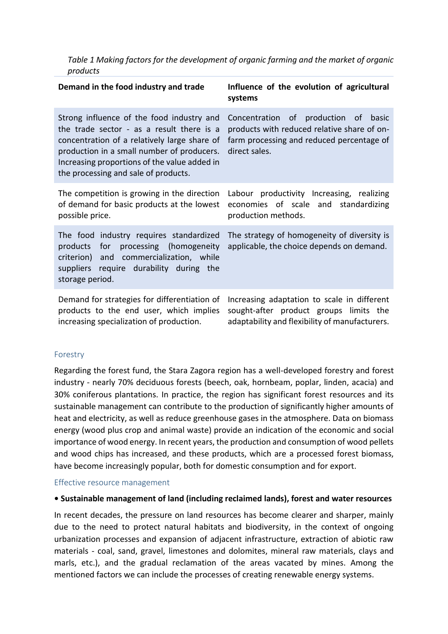*Table 1 Making factors for the development of organic farming and the market of organic products*

| Demand in the food industry and trade                                                                                                                                                                                                                                        | Influence of the evolution of agricultural<br>systems                                                                                                |
|------------------------------------------------------------------------------------------------------------------------------------------------------------------------------------------------------------------------------------------------------------------------------|------------------------------------------------------------------------------------------------------------------------------------------------------|
| Strong influence of the food industry and<br>the trade sector - as a result there is a<br>concentration of a relatively large share of<br>production in a small number of producers.<br>Increasing proportions of the value added in<br>the processing and sale of products. | Concentration of production of<br>basic<br>products with reduced relative share of on-<br>farm processing and reduced percentage of<br>direct sales. |
| The competition is growing in the direction<br>of demand for basic products at the lowest<br>possible price.                                                                                                                                                                 | Labour productivity Increasing, realizing<br>economies of scale and standardizing<br>production methods.                                             |
| The food industry requires standardized<br>for processing (homogeneity<br>products<br>criterion) and commercialization, while<br>require durability during the<br>suppliers<br>storage period.                                                                               | The strategy of homogeneity of diversity is<br>applicable, the choice depends on demand.                                                             |
| Demand for strategies for differentiation of<br>products to the end user, which implies<br>increasing specialization of production.                                                                                                                                          | Increasing adaptation to scale in different<br>sought-after product groups limits the<br>adaptability and flexibility of manufacturers.              |

#### <span id="page-19-0"></span>Forestry

Regarding the forest fund, the Stara Zagora region has a well-developed forestry and forest industry - nearly 70% deciduous forests (beech, oak, hornbeam, poplar, linden, acacia) and 30% coniferous plantations. In practice, the region has significant forest resources and its sustainable management can contribute to the production of significantly higher amounts of heat and electricity, as well as reduce greenhouse gases in the atmosphere. Data on biomass energy (wood plus crop and animal waste) provide an indication of the economic and social importance of wood energy. In recent years, the production and consumption of wood pellets and wood chips has increased, and these products, which are а processed forest biomass, have become increasingly popular, both for domestic consumption and for export.

#### <span id="page-19-1"></span>Effective resource management

#### **• Sustainable management of land (including reclaimed lands), forest and water resources**

In recent decades, the pressure on land resources has become clearer and sharper, mainly due to the need to protect natural habitats and biodiversity, in the context of ongoing urbanization processes and expansion of adjacent infrastructure, extraction of abiotic raw materials - coal, sand, gravel, limestones and dolomites, mineral raw materials, clays and marls, etc.), and the gradual reclamation of the areas vacated by mines. Among the mentioned factors we can include the processes of creating renewable energy systems.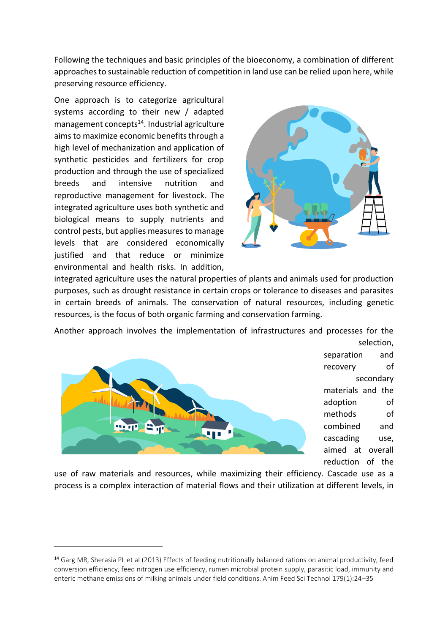Following the techniques and basic principles of the bioeconomy, a combination of different approaches to sustainable reduction of competition in land use can be relied upon here, while preserving resource efficiency.

One approach is to categorize agricultural systems according to their new / adapted management concepts $14$ . Industrial agriculture aims to maximize economic benefits through a high level of mechanization and application of synthetic pesticides and fertilizers for crop production and through the use of specialized breeds and intensive nutrition and reproductive management for livestock. The integrated agriculture uses both synthetic and biological means to supply nutrients and control pests, but applies measures to manage levels that are considered economically justified and that reduce or minimize environmental and health risks. In addition,



integrated agriculture uses the natural properties of plants and animals used for production purposes, such as drought resistance in certain crops or tolerance to diseases and parasites in certain breeds of animals. The conservation of natural resources, including genetic resources, is the focus of both organic farming and conservation farming.

Another approach involves the implementation of infrastructures and processes for the



selection, separation and recovery of secondary materials and the adoption of methods of combined and cascading use, aimed at overall reduction of the

use of raw materials and resources, while maximizing their efficiency. Cascade use as a process is a complex interaction of material flows and their utilization at different levels, in

<sup>&</sup>lt;sup>14</sup> Garg MR, Sherasia PL et al (2013) Effects of feeding nutritionally balanced rations on animal productivity, feed conversion efficiency, feed nitrogen use efficiency, rumen microbial protein supply, parasitic load, immunity and enteric methane emissions of milking animals under field conditions. Anim Feed Sci Technol 179(1):24–35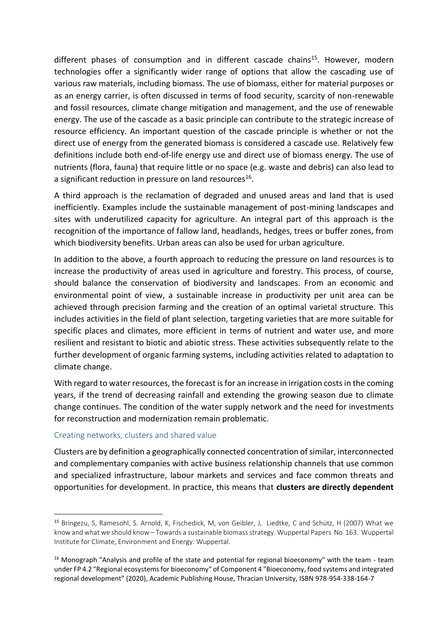different phases of consumption and in different cascade chains<sup>15</sup>. However, modern technologies offer a significantly wider range of options that allow the cascading use of various raw materials, including biomass. The use of biomass, either for material purposes or as an energy carrier, is often discussed in terms of food security, scarcity of non-renewable and fossil resources, climate change mitigation and management, and the use of renewable energy. The use of the cascade as a basic principle can contribute to the strategic increase of resource efficiency. An important question of the cascade principle is whether or not the direct use of energy from the generated biomass is considered a cascade use. Relatively few definitions include both end-of-life energy use and direct use of biomass energy. The use of nutrients (flora, fauna) that require little or no space (e.g. waste and debris) can also lead to a significant reduction in pressure on land resources<sup>16</sup>.

A third approach is the reclamation of degraded and unused areas and land that is used inefficiently. Examples include the sustainable management of post-mining landscapes and sites with underutilized capacity for agriculture. An integral part of this approach is the recognition of the importance of fallow land, headlands, hedges, trees or buffer zones, from which biodiversity benefits. Urban areas can also be used for urban agriculture.

In addition to the above, a fourth approach to reducing the pressure on land resources is to increase the productivity of areas used in agriculture and forestry. This process, of course, should balance the conservation of biodiversity and landscapes. From an economic and environmental point of view, a sustainable increase in productivity per unit area can be achieved through precision farming and the creation of an optimal varietal structure. This includes activities in the field of plant selection, targeting varieties that are more suitable for specific places and climates, more efficient in terms of nutrient and water use, and more resilient and resistant to biotic and abiotic stress. These activities subsequently relate to the further development of organic farming systems, including activities related to adaptation to climate change.

With regard to water resources, the forecast is for an increase in irrigation costs in the coming years, if the trend of decreasing rainfall and extending the growing season due to climate change continues. The condition of the water supply network and the need for investments for reconstruction and modernization remain problematic.

#### <span id="page-21-0"></span>Creating networks, clusters and shared value

Clusters are by definition a geographically connected concentration of similar, interconnected and complementary companies with active business relationship channels that use common and specialized infrastructure, labour markets and services and face common threats and opportunities for development. In practice, this means that **clusters are directly dependent** 

<sup>15</sup> Bringezu, S, Ramesohl, S. Arnold, K, Fischedick, M, von Geibler, J, Liedtke, C and Schütz, H (2007) What we know and what we should know – Towards a sustainable biomass strategy. Wuppertal Papers No 163. Wuppertal Institute for Climate, Environment and Energy: Wuppertal.

 $16$  Monograph "Analysis and profile of the state and potential for regional bioeconomy" with the team - team under FP 4.2 "Regional ecosystems for bioeconomy" of Component 4 "Bioeconomy, food systems and integrated regional development" (2020), Academic Publishing House, Thracian University, ISBN 978-954-338-164-7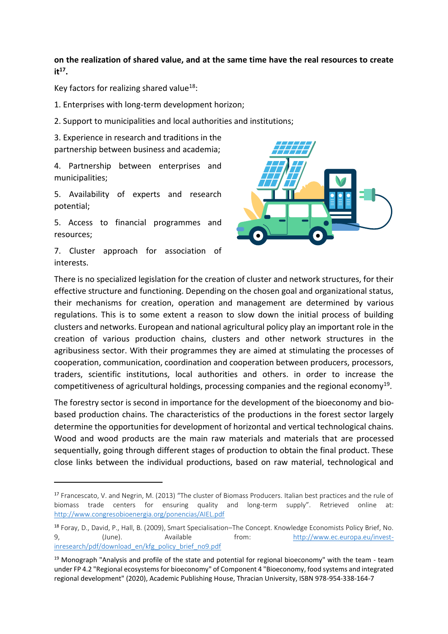**on the realization of shared value, and at the same time have the real resources to create it<sup>17</sup> .**

Key factors for realizing shared value<sup>18</sup>:

1. Enterprises with long-term development horizon;

2. Support to municipalities and local authorities and institutions;

3. Experience in research and traditions in the partnership between business and academia;

4. Partnership between enterprises and municipalities;

5. Availability of experts and research potential;

5. Access to financial programmes and resources;

7. Cluster approach for association of interests.



There is no specialized legislation for the creation of cluster and network structures, for their effective structure and functioning. Depending on the chosen goal and organizational status, their mechanisms for creation, operation and management are determined by various regulations. This is to some extent a reason to slow down the initial process of building clusters and networks. European and national agricultural policy play an important role in the creation of various production chains, clusters and other network structures in the agribusiness sector. With their programmes they are aimed at stimulating the processes of cooperation, communication, coordination and cooperation between producers, processors, traders, scientific institutions, local authorities and others. in order to increase the competitiveness of agricultural holdings, processing companies and the regional economy<sup>19</sup>.

The forestry sector is second in importance for the development of the bioeconomy and biobased production chains. The characteristics of the productions in the forest sector largely determine the opportunities for development of horizontal and vertical technological chains. Wood and wood products are the main raw materials and materials that are processed sequentially, going through different stages of production to obtain the final product. These close links between the individual productions, based on raw material, technological and

<sup>17</sup> Francescato, V. and Negrin, M. (2013) "The cluster of Biomass Producers. Italian best practices and the rule of biomass trade centers for ensuring quality and long-term supply". Retrieved online at: <http://www.congresobioenergia.org/ponencias/AIEL.pdf>

<sup>18</sup> Foray, D., David, P., Hall, B. (2009), Smart Specialisation–The Concept. Knowledge Economists Policy Brief, No. 9, (June). Available from: [http://www.ec.europa.eu/invest](http://www.ec.europa.eu/invest-inresearch/pdf/download_en/kfg_policy_brief_no9.pdf)[inresearch/pdf/download\\_en/kfg\\_policy\\_brief\\_no9.pdf](http://www.ec.europa.eu/invest-inresearch/pdf/download_en/kfg_policy_brief_no9.pdf)

 $19$  Monograph "Analysis and profile of the state and potential for regional bioeconomy" with the team - team under FP 4.2 "Regional ecosystems for bioeconomy" of Component 4 "Bioeconomy, food systems and integrated regional development" (2020), Academic Publishing House, Thracian University, ISBN 978-954-338-164-7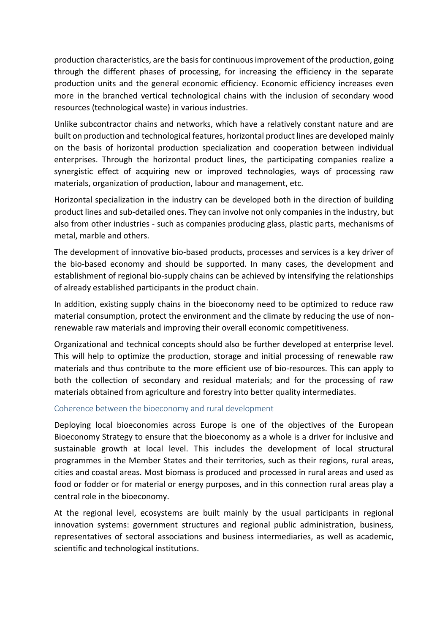production characteristics, are the basis for continuous improvement of the production, going through the different phases of processing, for increasing the efficiency in the separate production units and the general economic efficiency. Economic efficiency increases even more in the branched vertical technological chains with the inclusion of secondary wood resources (technological waste) in various industries.

Unlike subcontractor chains and networks, which have a relatively constant nature and are built on production and technological features, horizontal product lines are developed mainly on the basis of horizontal production specialization and cooperation between individual enterprises. Through the horizontal product lines, the participating companies realize a synergistic effect of acquiring new or improved technologies, ways of processing raw materials, organization of production, labour and management, etc.

Horizontal specialization in the industry can be developed both in the direction of building product lines and sub-detailed ones. They can involve not only companies in the industry, but also from other industries - such as companies producing glass, plastic parts, mechanisms of metal, marble and others.

The development of innovative bio-based products, processes and services is a key driver of the bio-based economy and should be supported. In many cases, the development and establishment of regional bio-supply chains can be achieved by intensifying the relationships of already established participants in the product chain.

In addition, existing supply chains in the bioeconomy need to be optimized to reduce raw material consumption, protect the environment and the climate by reducing the use of nonrenewable raw materials and improving their overall economic competitiveness.

Organizational and technical concepts should also be further developed at enterprise level. This will help to optimize the production, storage and initial processing of renewable raw materials and thus contribute to the more efficient use of bio-resources. This can apply to both the collection of secondary and residual materials; and for the processing of raw materials obtained from agriculture and forestry into better quality intermediates.

#### <span id="page-23-0"></span>Coherence between the bioeconomy and rural development

Deploying local bioeconomies across Europe is one of the objectives of the European Bioeconomy Strategy to ensure that the bioeconomy as a whole is a driver for inclusive and sustainable growth at local level. This includes the development of local structural programmes in the Member States and their territories, such as their regions, rural areas, cities and coastal areas. Most biomass is produced and processed in rural areas and used as food or fodder or for material or energy purposes, and in this connection rural areas play a central role in the bioeconomy.

At the regional level, ecosystems are built mainly by the usual participants in regional innovation systems: government structures and regional public administration, business, representatives of sectoral associations and business intermediaries, as well as academic, scientific and technological institutions.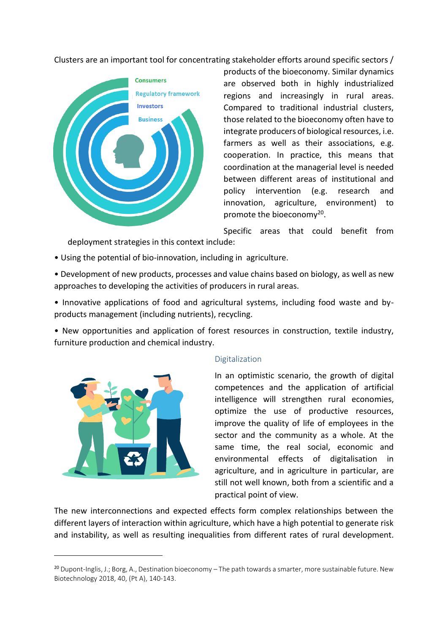Clusters are an important tool for concentrating stakeholder efforts around specific sectors /



products of the bioeconomy. Similar dynamics are observed both in highly industrialized regions and increasingly in rural areas. Compared to traditional industrial clusters, those related to the bioeconomy often have to integrate producers of biological resources, i.e. farmers as well as their associations, e.g. cooperation. In practice, this means that coordination at the managerial level is needed between different areas of institutional and policy intervention (e.g. research and innovation, agriculture, environment) to promote the bioeconomy<sup>20</sup>.

Specific areas that could benefit from deployment strategies in this context include:

- Using the potential of bio-innovation, including in agriculture.
- Development of new products, processes and value chains based on biology, as well as new approaches to developing the activities of producers in rural areas.
- Innovative applications of food and agricultural systems, including food waste and byproducts management (including nutrients), recycling.

• New opportunities and application of forest resources in construction, textile industry, furniture production and chemical industry.



#### <span id="page-24-0"></span>Digitalization

In an optimistic scenario, the growth of digital competences and the application of artificial intelligence will strengthen rural economies, optimize the use of productive resources, improve the quality of life of employees in the sector and the community as a whole. At the same time, the real social, economic and environmental effects of digitalisation in agriculture, and in agriculture in particular, are still not well known, both from a scientific and a practical point of view.

The new interconnections and expected effects form complex relationships between the different layers of interaction within agriculture, which have a high potential to generate risk and instability, as well as resulting inequalities from different rates of rural development.

<sup>&</sup>lt;sup>20</sup> Dupont-Inglis, J.; Borg, A., Destination bioeconomy – The path towards a smarter, more sustainable future. New Biotechnology 2018, 40, (Pt A), 140-143.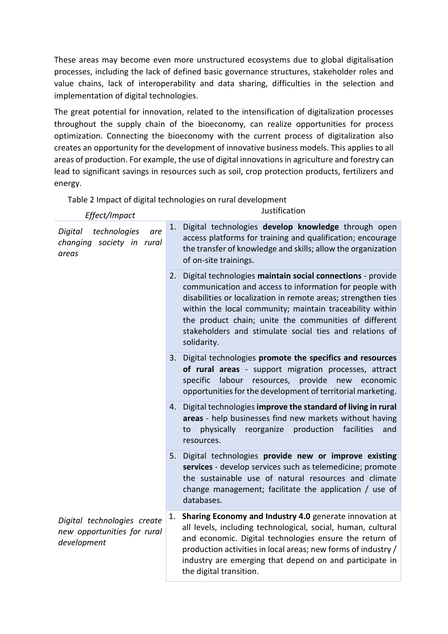These areas may become even more unstructured ecosystems due to global digitalisation processes, including the lack of defined basic governance structures, stakeholder roles and value chains, lack of interoperability and data sharing, difficulties in the selection and implementation of digital technologies.

The great potential for innovation, related to the intensification of digitalization processes throughout the supply chain of the bioeconomy, can realize opportunities for process optimization. Connecting the bioeconomy with the current process of digitalization also creates an opportunity for the development of innovative business models. This applies to all areas of production. For example, the use of digital innovations in agriculture and forestry can lead to significant savings in resources such as soil, crop protection products, fertilizers and energy.

Table 2 Impact of digital technologies on rural development

| Effect/Impact                                                             |    | Justification                                                                                                                                                                                                                                                                                                                                                                         |
|---------------------------------------------------------------------------|----|---------------------------------------------------------------------------------------------------------------------------------------------------------------------------------------------------------------------------------------------------------------------------------------------------------------------------------------------------------------------------------------|
| technologies<br>Digital<br>are<br>changing society in rural<br>areas      | 1. | Digital technologies develop knowledge through open<br>access platforms for training and qualification; encourage<br>the transfer of knowledge and skills; allow the organization<br>of on-site trainings.                                                                                                                                                                            |
|                                                                           | 2. | Digital technologies maintain social connections - provide<br>communication and access to information for people with<br>disabilities or localization in remote areas; strengthen ties<br>within the local community; maintain traceability within<br>the product chain; unite the communities of different<br>stakeholders and stimulate social ties and relations of<br>solidarity. |
|                                                                           | 3. | Digital technologies promote the specifics and resources<br>of rural areas - support migration processes, attract<br>labour resources, provide<br>specific<br>new economic<br>opportunities for the development of territorial marketing.                                                                                                                                             |
|                                                                           |    | 4. Digital technologies improve the standard of living in rural<br>areas - help businesses find new markets without having<br>production<br>physically<br>reorganize<br>facilities<br>and<br>to<br>resources.                                                                                                                                                                         |
|                                                                           |    | 5. Digital technologies provide new or improve existing<br>services - develop services such as telemedicine; promote<br>the sustainable use of natural resources and climate<br>change management; facilitate the application / use of<br>databases.                                                                                                                                  |
| Digital technologies create<br>new opportunities for rural<br>development | 1. | Sharing Economy and Industry 4.0 generate innovation at<br>all levels, including technological, social, human, cultural<br>and economic. Digital technologies ensure the return of<br>production activities in local areas; new forms of industry /<br>industry are emerging that depend on and participate in<br>the digital transition.                                             |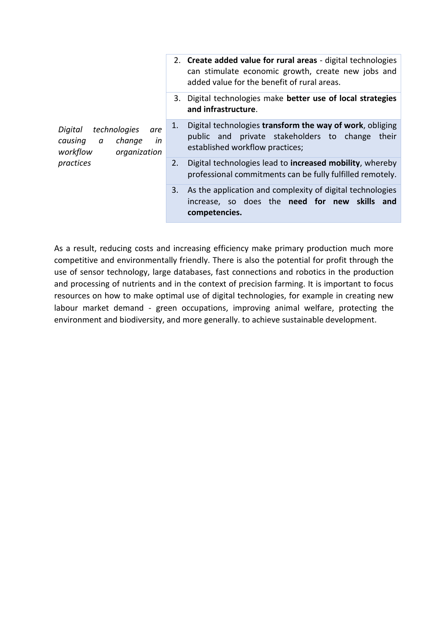| Digital<br>technologies<br>are<br>causing<br>change<br>in<br>$\alpha$<br>workflow<br>organization<br>practices | 2. Create added value for rural areas - digital technologies<br>can stimulate economic growth, create new jobs and<br>added value for the benefit of rural areas. |
|----------------------------------------------------------------------------------------------------------------|-------------------------------------------------------------------------------------------------------------------------------------------------------------------|
|                                                                                                                | Digital technologies make better use of local strategies<br>3.<br>and infrastructure.                                                                             |
|                                                                                                                | Digital technologies transform the way of work, obliging<br>1.<br>public and private stakeholders to change<br>their<br>established workflow practices;           |
|                                                                                                                | Digital technologies lead to increased mobility, whereby<br>2.<br>professional commitments can be fully fulfilled remotely.                                       |
|                                                                                                                | As the application and complexity of digital technologies<br>3.<br>increase, so does the need for new skills and<br>competencies.                                 |

As a result, reducing costs and increasing efficiency make primary production much more competitive and environmentally friendly. There is also the potential for profit through the use of sensor technology, large databases, fast connections and robotics in the production and processing of nutrients and in the context of precision farming. It is important to focus resources on how to make optimal use of digital technologies, for example in creating new labour market demand - green occupations, improving animal welfare, protecting the environment and biodiversity, and more generally. to achieve sustainable development.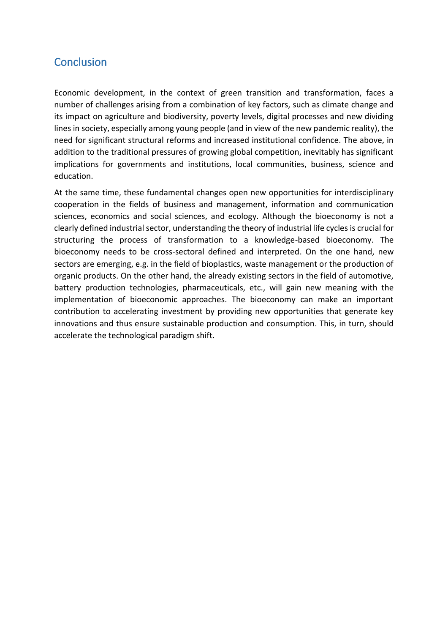# <span id="page-27-0"></span>**Conclusion**

Economic development, in the context of green transition and transformation, faces a number of challenges arising from a combination of key factors, such as climate change and its impact on agriculture and biodiversity, poverty levels, digital processes and new dividing lines in society, especially among young people (and in view of the new pandemic reality), the need for significant structural reforms and increased institutional confidence. The above, in addition to the traditional pressures of growing global competition, inevitably has significant implications for governments and institutions, local communities, business, science and education.

At the same time, these fundamental changes open new opportunities for interdisciplinary cooperation in the fields of business and management, information and communication sciences, economics and social sciences, and ecology. Although the bioeconomy is not a clearly defined industrial sector, understanding the theory of industrial life cycles is crucial for structuring the process of transformation to a knowledge-based bioeconomy. The bioeconomy needs to be cross-sectoral defined and interpreted. On the one hand, new sectors are emerging, e.g. in the field of bioplastics, waste management or the production of organic products. On the other hand, the already existing sectors in the field of automotive, battery production technologies, pharmaceuticals, etc., will gain new meaning with the implementation of bioeconomic approaches. The bioeconomy can make an important contribution to accelerating investment by providing new opportunities that generate key innovations and thus ensure sustainable production and consumption. This, in turn, should accelerate the technological paradigm shift.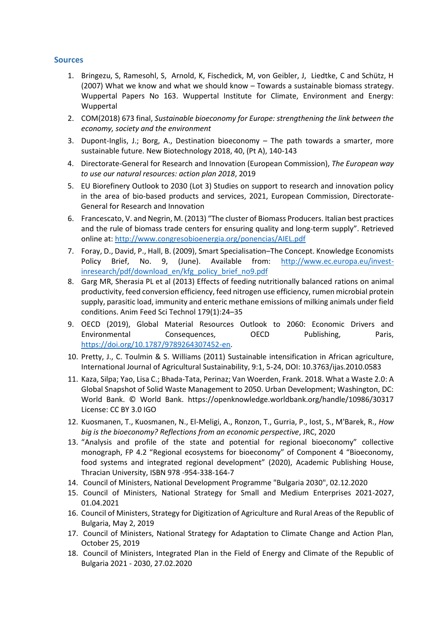#### <span id="page-28-0"></span>**Sources**

- 1. Bringezu, S, Ramesohl, S, Arnold, K, Fischedick, M, von Geibler, J, Liedtke, C and Schütz, H (2007) What we know and what we should know – Towards a sustainable biomass strategy. Wuppertal Papers No 163. Wuppertal Institute for Climate, Environment and Energy: Wuppertal
- 2. COM(2018) 673 final, *Sustainable bioeconomy for Europe: strengthening the link between the economy, society and the environment*
- 3. Dupont-Inglis, J.; Borg, A., Destination bioeconomy The path towards a smarter, more sustainable future. New Biotechnology 2018, 40, (Pt A), 140-143
- 4. Directorate-General for Research and Innovation (European Commission), *The European way to use our natural resources: action plan 2018*, 2019
- 5. EU Biorefinery Outlook to 2030 (Lot 3) Studies on support to research and innovation policy in the area of bio-based products and services, 2021, European Commission, Directorate-General for Research and Innovation
- 6. Francescato, V. and Negrin, M. (2013) "The cluster of Biomass Producers. Italian best practices and the rule of biomass trade centers for ensuring quality and long-term supply". Retrieved online at[: http://www.congresobioenergia.org/ponencias/AIEL.pdf](http://www.congresobioenergia.org/ponencias/AIEL.pdf)
- 7. Foray, D., David, P., Hall, B. (2009), Smart Specialisation–The Concept. Knowledge Economists Policy Brief, No. 9, (June). Available from: [http://www.ec.europa.eu/invest](http://www.ec.europa.eu/invest-inresearch/pdf/download_en/kfg_policy_brief_no9.pdf)[inresearch/pdf/download\\_en/kfg\\_policy\\_brief\\_no9.pdf](http://www.ec.europa.eu/invest-inresearch/pdf/download_en/kfg_policy_brief_no9.pdf)
- 8. Garg MR, Sherasia PL et al (2013) Effects of feeding nutritionally balanced rations on animal productivity, feed conversion efficiency, feed nitrogen use efficiency, rumen microbial protein supply, parasitic load, immunity and enteric methane emissions of milking animals under field conditions. Anim Feed Sci Technol 179(1):24–35
- 9. OECD (2019), Global Material Resources Outlook to 2060: Economic Drivers and Environmental Consequences, OECD Publishing, Paris, [https://doi.org/10.1787/9789264307452-en.](https://doi.org/10.1787/9789264307452-en)
- 10. Pretty, J., C. Toulmin & S. Williams (2011) Sustainable intensification in African agriculture, International Journal of Agricultural Sustainability, 9:1, 5-24, DOI: 10.3763/ijas.2010.0583
- 11. Kaza, Silpa; Yao, Lisa C.; Bhada-Tata, Perinaz; Van Woerden, Frank. 2018. What a Waste 2.0: A Global Snapshot of Solid Waste Management to 2050. Urban Development; Washington, DC: World Bank. © World Bank. https://openknowledge.worldbank.org/handle/10986/30317 License: CC BY 3.0 IGO
- 12. Kuosmanen, T., Kuosmanen, N., El-Meligi, A., Ronzon, T., Gurria, P., Iost, S., M'Barek, R., *How big is the bioeconomy? Reflections from an economic perspective*, JRC, 2020
- 13. "Analysis and profile of the state and potential for regional bioeconomy" collective monograph, FP 4.2 "Regional ecosystems for bioeconomy" of Component 4 "Bioeconomy, food systems and integrated regional development" (2020), Academic Publishing House, Thracian University, ISBN 978 -954-338-164-7
- 14. Council of Ministers, National Development Programme "Bulgaria 2030", 02.12.2020
- 15. Council of Ministers, National Strategy for Small and Medium Enterprises 2021-2027, 01.04.2021
- 16. Council of Ministers, Strategy for Digitization of Agriculture and Rural Areas of the Republic of Bulgaria, May 2, 2019
- 17. Council of Ministers, National Strategy for Adaptation to Climate Change and Action Plan, October 25, 2019
- 18. Council of Ministers, Integrated Plan in the Field of Energy and Climate of the Republic of Bulgaria 2021 - 2030, 27.02.2020